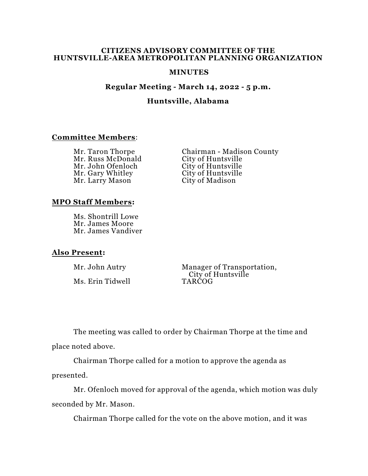### **CITIZENS ADVISORY COMMITTEE OF THE HUNTSVILLE-AREA METROPOLITAN PLANNING ORGANIZATION**

### **MINUTES**

### **Regular Meeting - March 14, 2022 - 5 p.m.**

# **Huntsville, Alabama**

## **Committee Members**:

Mr. Russ McDonald City of Huntsville<br>Mr. John Ofenloch City of Huntsville Mr. John Ofenloch City of Huntsville<br>Mr. Gary Whitley City of Huntsville Mr. Gary Whitley City of Huntsville Mr. Larry Mason

Mr. Taron Thorpe Chairman - Madison County

### **MPO Staff Members:**

Ms. Shontrill Lowe Mr. James Moore Mr. James Vandiver

## **Also Present:**

Ms. Erin Tidwell

Mr. John Autry Manager of Transportation, City of Huntsville<br>TARCOG

The meeting was called to order by Chairman Thorpe at the time and place noted above.

Chairman Thorpe called for a motion to approve the agenda as presented.

Mr. Ofenloch moved for approval of the agenda, which motion was duly seconded by Mr. Mason.

Chairman Thorpe called for the vote on the above motion, and it was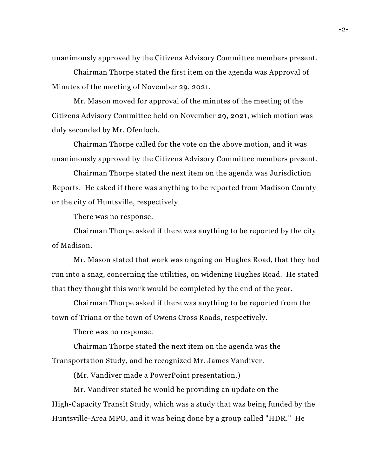unanimously approved by the Citizens Advisory Committee members present.

Chairman Thorpe stated the first item on the agenda was Approval of Minutes of the meeting of November 29, 2021.

Mr. Mason moved for approval of the minutes of the meeting of the Citizens Advisory Committee held on November 29, 2021, which motion was duly seconded by Mr. Ofenloch.

Chairman Thorpe called for the vote on the above motion, and it was unanimously approved by the Citizens Advisory Committee members present.

Chairman Thorpe stated the next item on the agenda was Jurisdiction Reports. He asked if there was anything to be reported from Madison County or the city of Huntsville, respectively.

There was no response.

Chairman Thorpe asked if there was anything to be reported by the city of Madison.

Mr. Mason stated that work was ongoing on Hughes Road, that they had run into a snag, concerning the utilities, on widening Hughes Road. He stated that they thought this work would be completed by the end of the year.

Chairman Thorpe asked if there was anything to be reported from the town of Triana or the town of Owens Cross Roads, respectively.

There was no response.

Chairman Thorpe stated the next item on the agenda was the Transportation Study, and he recognized Mr. James Vandiver.

(Mr. Vandiver made a PowerPoint presentation.)

Mr. Vandiver stated he would be providing an update on the High-Capacity Transit Study, which was a study that was being funded by the Huntsville-Area MPO, and it was being done by a group called "HDR." He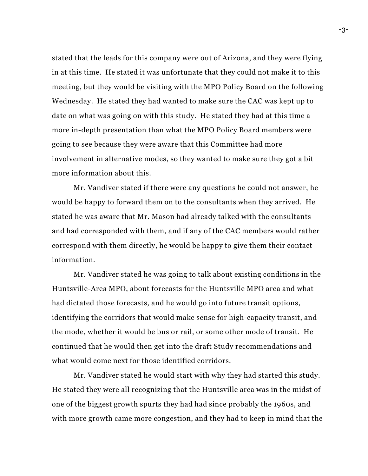stated that the leads for this company were out of Arizona, and they were flying in at this time. He stated it was unfortunate that they could not make it to this meeting, but they would be visiting with the MPO Policy Board on the following Wednesday. He stated they had wanted to make sure the CAC was kept up to date on what was going on with this study. He stated they had at this time a more in-depth presentation than what the MPO Policy Board members were going to see because they were aware that this Committee had more involvement in alternative modes, so they wanted to make sure they got a bit more information about this.

Mr. Vandiver stated if there were any questions he could not answer, he would be happy to forward them on to the consultants when they arrived. He stated he was aware that Mr. Mason had already talked with the consultants and had corresponded with them, and if any of the CAC members would rather correspond with them directly, he would be happy to give them their contact information.

Mr. Vandiver stated he was going to talk about existing conditions in the Huntsville-Area MPO, about forecasts for the Huntsville MPO area and what had dictated those forecasts, and he would go into future transit options, identifying the corridors that would make sense for high-capacity transit, and the mode, whether it would be bus or rail, or some other mode of transit. He continued that he would then get into the draft Study recommendations and what would come next for those identified corridors.

Mr. Vandiver stated he would start with why they had started this study. He stated they were all recognizing that the Huntsville area was in the midst of one of the biggest growth spurts they had had since probably the 1960s, and with more growth came more congestion, and they had to keep in mind that the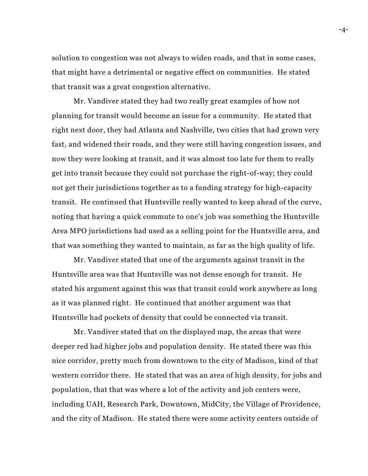solution to congestion was not always to widen roads, and that in some cases, that might have a detrimental or negative effect on communities. He stated that transit was a great congestion alternative.

Mr. Vandiver stated they had two really great examples of how not planning for transit would become an issue for a community. He stated that right next door, they had Atlanta and Nashville, two cities that had grown very fast, and widened their roads, and they were still having congestion issues, and now they were looking at transit, and it was almost too late for them to really get into transit because they could not purchase the right-of-way; they could not get their jurisdictions together as to a funding strategy for high-capacity transit. He continued that Huntsville really wanted to keep ahead of the curve, noting that having a quick commute to one's job was something the Huntsville Area MPO jurisdictions had used as a selling point for the Huntsville area, and that was something they wanted to maintain, as far as the high quality of life.

Mr. Vandiver stated that one of the arguments against transit in the Huntsville area was that Huntsville was not dense enough for transit. He stated his argument against this was that transit could work anywhere as long as it was planned right. He continued that another argument was that Huntsville had pockets of density that could be connected via transit.

Mr. Vandiver stated that on the displayed map, the areas that were deeper red had higher jobs and population density. He stated there was this nice corridor, pretty much from downtown to the city of Madison, kind of that western corridor there. He stated that was an area of high density, for jobs and population, that that was where a lot of the activity and job centers were, including UAH, Research Park, Downtown, MidCity, the Village of Providence, and the city of Madison. He stated there were some activity centers outside of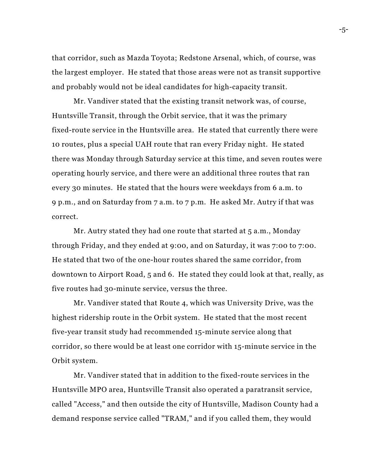that corridor, such as Mazda Toyota; Redstone Arsenal, which, of course, was the largest employer. He stated that those areas were not as transit supportive and probably would not be ideal candidates for high-capacity transit.

Mr. Vandiver stated that the existing transit network was, of course, Huntsville Transit, through the Orbit service, that it was the primary fixed-route service in the Huntsville area. He stated that currently there were 10 routes, plus a special UAH route that ran every Friday night. He stated there was Monday through Saturday service at this time, and seven routes were operating hourly service, and there were an additional three routes that ran every 30 minutes. He stated that the hours were weekdays from 6 a.m. to 9 p.m., and on Saturday from 7 a.m. to 7 p.m. He asked Mr. Autry if that was correct.

Mr. Autry stated they had one route that started at 5 a.m., Monday through Friday, and they ended at 9:00, and on Saturday, it was 7:00 to 7:00. He stated that two of the one-hour routes shared the same corridor, from downtown to Airport Road, 5 and 6. He stated they could look at that, really, as five routes had 30-minute service, versus the three.

Mr. Vandiver stated that Route 4, which was University Drive, was the highest ridership route in the Orbit system. He stated that the most recent five-year transit study had recommended 15-minute service along that corridor, so there would be at least one corridor with 15-minute service in the Orbit system.

Mr. Vandiver stated that in addition to the fixed-route services in the Huntsville MPO area, Huntsville Transit also operated a paratransit service, called "Access," and then outside the city of Huntsville, Madison County had a demand response service called "TRAM," and if you called them, they would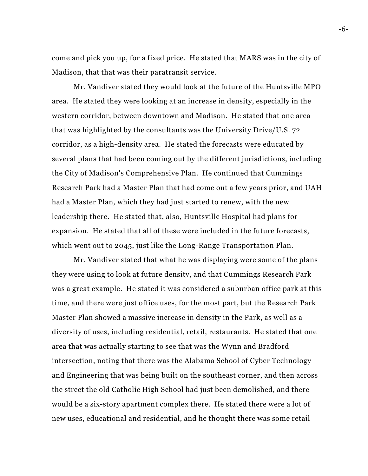come and pick you up, for a fixed price. He stated that MARS was in the city of Madison, that that was their paratransit service.

Mr. Vandiver stated they would look at the future of the Huntsville MPO area. He stated they were looking at an increase in density, especially in the western corridor, between downtown and Madison. He stated that one area that was highlighted by the consultants was the University Drive/U.S. 72 corridor, as a high-density area. He stated the forecasts were educated by several plans that had been coming out by the different jurisdictions, including the City of Madison's Comprehensive Plan. He continued that Cummings Research Park had a Master Plan that had come out a few years prior, and UAH had a Master Plan, which they had just started to renew, with the new leadership there. He stated that, also, Huntsville Hospital had plans for expansion. He stated that all of these were included in the future forecasts, which went out to 2045, just like the Long-Range Transportation Plan.

Mr. Vandiver stated that what he was displaying were some of the plans they were using to look at future density, and that Cummings Research Park was a great example. He stated it was considered a suburban office park at this time, and there were just office uses, for the most part, but the Research Park Master Plan showed a massive increase in density in the Park, as well as a diversity of uses, including residential, retail, restaurants. He stated that one area that was actually starting to see that was the Wynn and Bradford intersection, noting that there was the Alabama School of Cyber Technology and Engineering that was being built on the southeast corner, and then across the street the old Catholic High School had just been demolished, and there would be a six-story apartment complex there. He stated there were a lot of new uses, educational and residential, and he thought there was some retail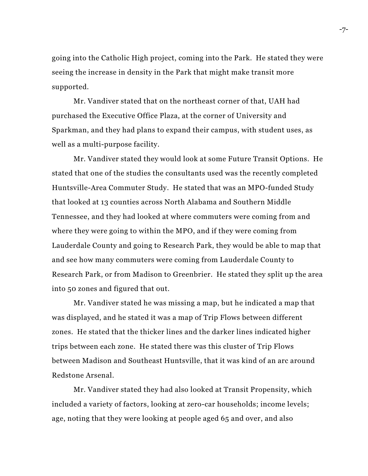going into the Catholic High project, coming into the Park. He stated they were seeing the increase in density in the Park that might make transit more supported.

Mr. Vandiver stated that on the northeast corner of that, UAH had purchased the Executive Office Plaza, at the corner of University and Sparkman, and they had plans to expand their campus, with student uses, as well as a multi-purpose facility.

Mr. Vandiver stated they would look at some Future Transit Options. He stated that one of the studies the consultants used was the recently completed Huntsville-Area Commuter Study. He stated that was an MPO-funded Study that looked at 13 counties across North Alabama and Southern Middle Tennessee, and they had looked at where commuters were coming from and where they were going to within the MPO, and if they were coming from Lauderdale County and going to Research Park, they would be able to map that and see how many commuters were coming from Lauderdale County to Research Park, or from Madison to Greenbrier. He stated they split up the area into 50 zones and figured that out.

Mr. Vandiver stated he was missing a map, but he indicated a map that was displayed, and he stated it was a map of Trip Flows between different zones. He stated that the thicker lines and the darker lines indicated higher trips between each zone. He stated there was this cluster of Trip Flows between Madison and Southeast Huntsville, that it was kind of an arc around Redstone Arsenal.

Mr. Vandiver stated they had also looked at Transit Propensity, which included a variety of factors, looking at zero-car households; income levels; age, noting that they were looking at people aged 65 and over, and also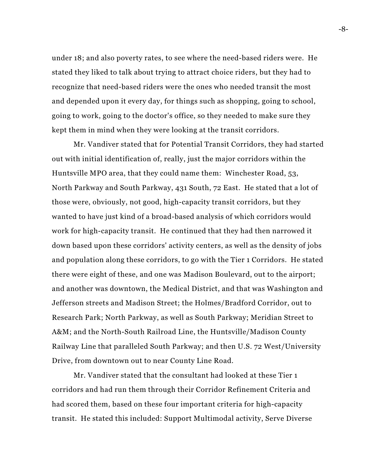under 18; and also poverty rates, to see where the need-based riders were. He stated they liked to talk about trying to attract choice riders, but they had to recognize that need-based riders were the ones who needed transit the most and depended upon it every day, for things such as shopping, going to school, going to work, going to the doctor's office, so they needed to make sure they kept them in mind when they were looking at the transit corridors.

Mr. Vandiver stated that for Potential Transit Corridors, they had started out with initial identification of, really, just the major corridors within the Huntsville MPO area, that they could name them: Winchester Road, 53, North Parkway and South Parkway, 431 South, 72 East. He stated that a lot of those were, obviously, not good, high-capacity transit corridors, but they wanted to have just kind of a broad-based analysis of which corridors would work for high-capacity transit. He continued that they had then narrowed it down based upon these corridors' activity centers, as well as the density of jobs and population along these corridors, to go with the Tier 1 Corridors. He stated there were eight of these, and one was Madison Boulevard, out to the airport; and another was downtown, the Medical District, and that was Washington and Jefferson streets and Madison Street; the Holmes/Bradford Corridor, out to Research Park; North Parkway, as well as South Parkway; Meridian Street to A&M; and the North-South Railroad Line, the Huntsville/Madison County Railway Line that paralleled South Parkway; and then U.S. 72 West/University Drive, from downtown out to near County Line Road.

Mr. Vandiver stated that the consultant had looked at these Tier 1 corridors and had run them through their Corridor Refinement Criteria and had scored them, based on these four important criteria for high-capacity transit. He stated this included: Support Multimodal activity, Serve Diverse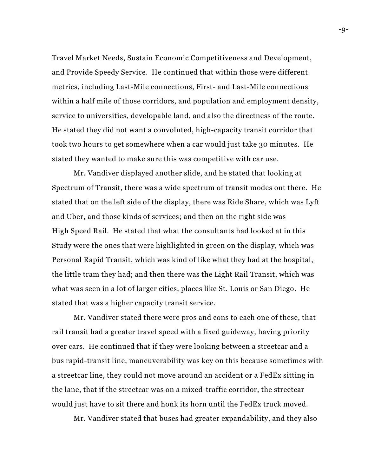Travel Market Needs, Sustain Economic Competitiveness and Development, and Provide Speedy Service. He continued that within those were different metrics, including Last-Mile connections, First- and Last-Mile connections within a half mile of those corridors, and population and employment density, service to universities, developable land, and also the directness of the route. He stated they did not want a convoluted, high-capacity transit corridor that took two hours to get somewhere when a car would just take 30 minutes. He stated they wanted to make sure this was competitive with car use.

Mr. Vandiver displayed another slide, and he stated that looking at Spectrum of Transit, there was a wide spectrum of transit modes out there. He stated that on the left side of the display, there was Ride Share, which was Lyft and Uber, and those kinds of services; and then on the right side was High Speed Rail. He stated that what the consultants had looked at in this Study were the ones that were highlighted in green on the display, which was Personal Rapid Transit, which was kind of like what they had at the hospital, the little tram they had; and then there was the Light Rail Transit, which was what was seen in a lot of larger cities, places like St. Louis or San Diego. He stated that was a higher capacity transit service.

Mr. Vandiver stated there were pros and cons to each one of these, that rail transit had a greater travel speed with a fixed guideway, having priority over cars. He continued that if they were looking between a streetcar and a bus rapid-transit line, maneuverability was key on this because sometimes with a streetcar line, they could not move around an accident or a FedEx sitting in the lane, that if the streetcar was on a mixed-traffic corridor, the streetcar would just have to sit there and honk its horn until the FedEx truck moved.

Mr. Vandiver stated that buses had greater expandability, and they also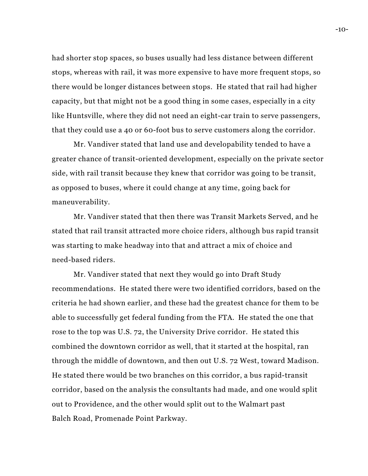had shorter stop spaces, so buses usually had less distance between different stops, whereas with rail, it was more expensive to have more frequent stops, so there would be longer distances between stops. He stated that rail had higher capacity, but that might not be a good thing in some cases, especially in a city like Huntsville, where they did not need an eight-car train to serve passengers, that they could use a 40 or 60-foot bus to serve customers along the corridor.

Mr. Vandiver stated that land use and developability tended to have a greater chance of transit-oriented development, especially on the private sector side, with rail transit because they knew that corridor was going to be transit, as opposed to buses, where it could change at any time, going back for maneuverability.

Mr. Vandiver stated that then there was Transit Markets Served, and he stated that rail transit attracted more choice riders, although bus rapid transit was starting to make headway into that and attract a mix of choice and need-based riders.

Mr. Vandiver stated that next they would go into Draft Study recommendations. He stated there were two identified corridors, based on the criteria he had shown earlier, and these had the greatest chance for them to be able to successfully get federal funding from the FTA. He stated the one that rose to the top was U.S. 72, the University Drive corridor. He stated this combined the downtown corridor as well, that it started at the hospital, ran through the middle of downtown, and then out U.S. 72 West, toward Madison. He stated there would be two branches on this corridor, a bus rapid-transit corridor, based on the analysis the consultants had made, and one would split out to Providence, and the other would split out to the Walmart past Balch Road, Promenade Point Parkway.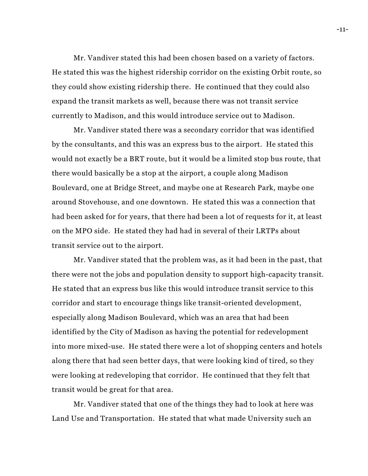Mr. Vandiver stated this had been chosen based on a variety of factors. He stated this was the highest ridership corridor on the existing Orbit route, so they could show existing ridership there. He continued that they could also expand the transit markets as well, because there was not transit service currently to Madison, and this would introduce service out to Madison.

Mr. Vandiver stated there was a secondary corridor that was identified by the consultants, and this was an express bus to the airport. He stated this would not exactly be a BRT route, but it would be a limited stop bus route, that there would basically be a stop at the airport, a couple along Madison Boulevard, one at Bridge Street, and maybe one at Research Park, maybe one around Stovehouse, and one downtown. He stated this was a connection that had been asked for for years, that there had been a lot of requests for it, at least on the MPO side. He stated they had had in several of their LRTPs about transit service out to the airport.

Mr. Vandiver stated that the problem was, as it had been in the past, that there were not the jobs and population density to support high-capacity transit. He stated that an express bus like this would introduce transit service to this corridor and start to encourage things like transit-oriented development, especially along Madison Boulevard, which was an area that had been identified by the City of Madison as having the potential for redevelopment into more mixed-use. He stated there were a lot of shopping centers and hotels along there that had seen better days, that were looking kind of tired, so they were looking at redeveloping that corridor. He continued that they felt that transit would be great for that area.

Mr. Vandiver stated that one of the things they had to look at here was Land Use and Transportation. He stated that what made University such an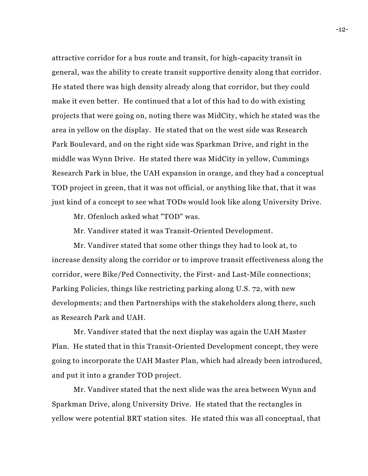attractive corridor for a bus route and transit, for high-capacity transit in general, was the ability to create transit supportive density along that corridor. He stated there was high density already along that corridor, but they could make it even better. He continued that a lot of this had to do with existing projects that were going on, noting there was MidCity, which he stated was the area in yellow on the display. He stated that on the west side was Research Park Boulevard, and on the right side was Sparkman Drive, and right in the middle was Wynn Drive. He stated there was MidCity in yellow, Cummings Research Park in blue, the UAH expansion in orange, and they had a conceptual TOD project in green, that it was not official, or anything like that, that it was just kind of a concept to see what TODs would look like along University Drive.

Mr. Ofenloch asked what "TOD" was.

Mr. Vandiver stated it was Transit-Oriented Development.

Mr. Vandiver stated that some other things they had to look at, to increase density along the corridor or to improve transit effectiveness along the corridor, were Bike/Ped Connectivity, the First- and Last-Mile connections; Parking Policies, things like restricting parking along U.S. 72, with new developments; and then Partnerships with the stakeholders along there, such as Research Park and UAH.

Mr. Vandiver stated that the next display was again the UAH Master Plan. He stated that in this Transit-Oriented Development concept, they were going to incorporate the UAH Master Plan, which had already been introduced, and put it into a grander TOD project.

Mr. Vandiver stated that the next slide was the area between Wynn and Sparkman Drive, along University Drive. He stated that the rectangles in yellow were potential BRT station sites. He stated this was all conceptual, that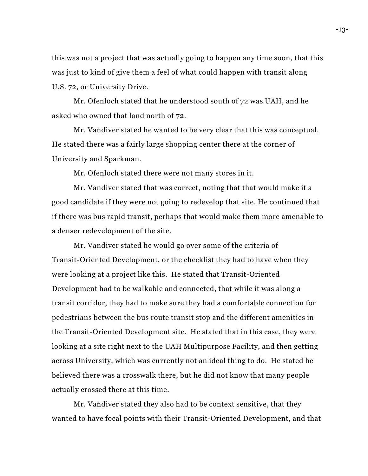this was not a project that was actually going to happen any time soon, that this was just to kind of give them a feel of what could happen with transit along U.S. 72, or University Drive.

Mr. Ofenloch stated that he understood south of 72 was UAH, and he asked who owned that land north of 72.

Mr. Vandiver stated he wanted to be very clear that this was conceptual. He stated there was a fairly large shopping center there at the corner of University and Sparkman.

Mr. Ofenloch stated there were not many stores in it.

Mr. Vandiver stated that was correct, noting that that would make it a good candidate if they were not going to redevelop that site. He continued that if there was bus rapid transit, perhaps that would make them more amenable to a denser redevelopment of the site.

Mr. Vandiver stated he would go over some of the criteria of Transit-Oriented Development, or the checklist they had to have when they were looking at a project like this. He stated that Transit-Oriented Development had to be walkable and connected, that while it was along a transit corridor, they had to make sure they had a comfortable connection for pedestrians between the bus route transit stop and the different amenities in the Transit-Oriented Development site. He stated that in this case, they were looking at a site right next to the UAH Multipurpose Facility, and then getting across University, which was currently not an ideal thing to do. He stated he believed there was a crosswalk there, but he did not know that many people actually crossed there at this time.

Mr. Vandiver stated they also had to be context sensitive, that they wanted to have focal points with their Transit-Oriented Development, and that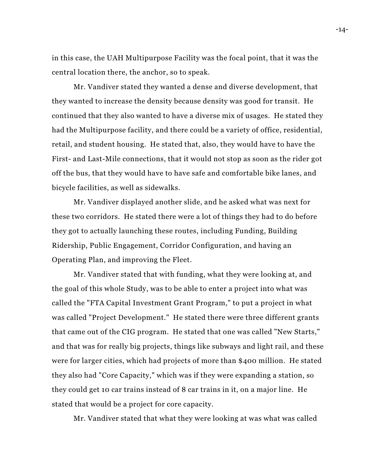in this case, the UAH Multipurpose Facility was the focal point, that it was the central location there, the anchor, so to speak.

Mr. Vandiver stated they wanted a dense and diverse development, that they wanted to increase the density because density was good for transit. He continued that they also wanted to have a diverse mix of usages. He stated they had the Multipurpose facility, and there could be a variety of office, residential, retail, and student housing. He stated that, also, they would have to have the First- and Last-Mile connections, that it would not stop as soon as the rider got off the bus, that they would have to have safe and comfortable bike lanes, and bicycle facilities, as well as sidewalks.

Mr. Vandiver displayed another slide, and he asked what was next for these two corridors. He stated there were a lot of things they had to do before they got to actually launching these routes, including Funding, Building Ridership, Public Engagement, Corridor Configuration, and having an Operating Plan, and improving the Fleet.

Mr. Vandiver stated that with funding, what they were looking at, and the goal of this whole Study, was to be able to enter a project into what was called the "FTA Capital Investment Grant Program," to put a project in what was called "Project Development." He stated there were three different grants that came out of the CIG program. He stated that one was called "New Starts," and that was for really big projects, things like subways and light rail, and these were for larger cities, which had projects of more than \$400 million. He stated they also had "Core Capacity," which was if they were expanding a station, so they could get 10 car trains instead of 8 car trains in it, on a major line. He stated that would be a project for core capacity.

Mr. Vandiver stated that what they were looking at was what was called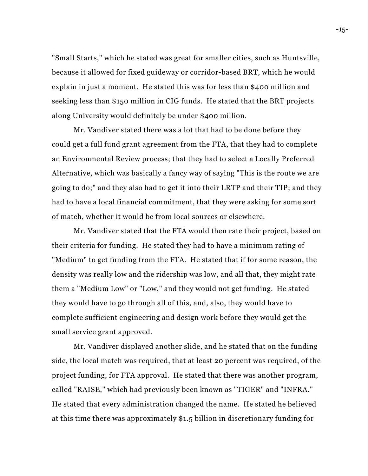"Small Starts," which he stated was great for smaller cities, such as Huntsville, because it allowed for fixed guideway or corridor-based BRT, which he would explain in just a moment. He stated this was for less than \$400 million and seeking less than \$150 million in CIG funds. He stated that the BRT projects along University would definitely be under \$400 million.

Mr. Vandiver stated there was a lot that had to be done before they could get a full fund grant agreement from the FTA, that they had to complete an Environmental Review process; that they had to select a Locally Preferred Alternative, which was basically a fancy way of saying "This is the route we are going to do;" and they also had to get it into their LRTP and their TIP; and they had to have a local financial commitment, that they were asking for some sort of match, whether it would be from local sources or elsewhere.

Mr. Vandiver stated that the FTA would then rate their project, based on their criteria for funding. He stated they had to have a minimum rating of "Medium" to get funding from the FTA. He stated that if for some reason, the density was really low and the ridership was low, and all that, they might rate them a "Medium Low" or "Low," and they would not get funding. He stated they would have to go through all of this, and, also, they would have to complete sufficient engineering and design work before they would get the small service grant approved.

Mr. Vandiver displayed another slide, and he stated that on the funding side, the local match was required, that at least 20 percent was required, of the project funding, for FTA approval. He stated that there was another program, called "RAISE," which had previously been known as "TIGER" and "INFRA." He stated that every administration changed the name. He stated he believed at this time there was approximately \$1.5 billion in discretionary funding for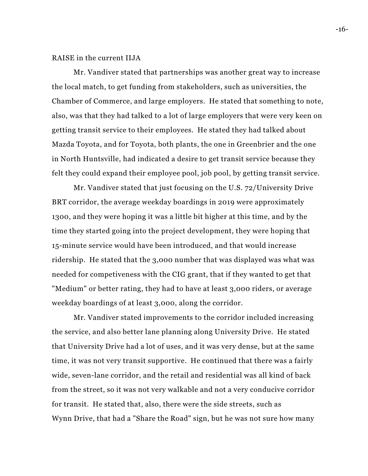# RAISE in the current IIJA

Mr. Vandiver stated that partnerships was another great way to increase the local match, to get funding from stakeholders, such as universities, the Chamber of Commerce, and large employers. He stated that something to note, also, was that they had talked to a lot of large employers that were very keen on getting transit service to their employees. He stated they had talked about Mazda Toyota, and for Toyota, both plants, the one in Greenbrier and the one in North Huntsville, had indicated a desire to get transit service because they felt they could expand their employee pool, job pool, by getting transit service.

Mr. Vandiver stated that just focusing on the U.S. 72/University Drive BRT corridor, the average weekday boardings in 2019 were approximately 1300, and they were hoping it was a little bit higher at this time, and by the time they started going into the project development, they were hoping that 15-minute service would have been introduced, and that would increase ridership. He stated that the 3,000 number that was displayed was what was needed for competiveness with the CIG grant, that if they wanted to get that "Medium" or better rating, they had to have at least 3,000 riders, or average weekday boardings of at least 3,000, along the corridor.

Mr. Vandiver stated improvements to the corridor included increasing the service, and also better lane planning along University Drive. He stated that University Drive had a lot of uses, and it was very dense, but at the same time, it was not very transit supportive. He continued that there was a fairly wide, seven-lane corridor, and the retail and residential was all kind of back from the street, so it was not very walkable and not a very conducive corridor for transit. He stated that, also, there were the side streets, such as Wynn Drive, that had a "Share the Road" sign, but he was not sure how many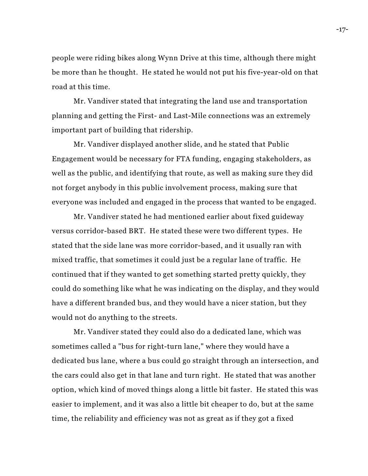people were riding bikes along Wynn Drive at this time, although there might be more than he thought. He stated he would not put his five-year-old on that road at this time.

Mr. Vandiver stated that integrating the land use and transportation planning and getting the First- and Last-Mile connections was an extremely important part of building that ridership.

Mr. Vandiver displayed another slide, and he stated that Public Engagement would be necessary for FTA funding, engaging stakeholders, as well as the public, and identifying that route, as well as making sure they did not forget anybody in this public involvement process, making sure that everyone was included and engaged in the process that wanted to be engaged.

Mr. Vandiver stated he had mentioned earlier about fixed guideway versus corridor-based BRT. He stated these were two different types. He stated that the side lane was more corridor-based, and it usually ran with mixed traffic, that sometimes it could just be a regular lane of traffic. He continued that if they wanted to get something started pretty quickly, they could do something like what he was indicating on the display, and they would have a different branded bus, and they would have a nicer station, but they would not do anything to the streets.

Mr. Vandiver stated they could also do a dedicated lane, which was sometimes called a "bus for right-turn lane," where they would have a dedicated bus lane, where a bus could go straight through an intersection, and the cars could also get in that lane and turn right. He stated that was another option, which kind of moved things along a little bit faster. He stated this was easier to implement, and it was also a little bit cheaper to do, but at the same time, the reliability and efficiency was not as great as if they got a fixed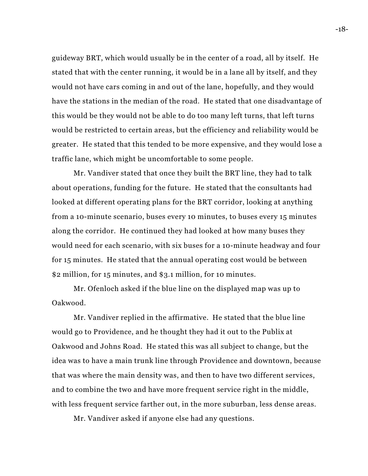guideway BRT, which would usually be in the center of a road, all by itself. He stated that with the center running, it would be in a lane all by itself, and they would not have cars coming in and out of the lane, hopefully, and they would have the stations in the median of the road. He stated that one disadvantage of this would be they would not be able to do too many left turns, that left turns would be restricted to certain areas, but the efficiency and reliability would be greater. He stated that this tended to be more expensive, and they would lose a traffic lane, which might be uncomfortable to some people.

Mr. Vandiver stated that once they built the BRT line, they had to talk about operations, funding for the future. He stated that the consultants had looked at different operating plans for the BRT corridor, looking at anything from a 10-minute scenario, buses every 10 minutes, to buses every 15 minutes along the corridor. He continued they had looked at how many buses they would need for each scenario, with six buses for a 10-minute headway and four for 15 minutes. He stated that the annual operating cost would be between \$2 million, for 15 minutes, and \$3.1 million, for 10 minutes.

Mr. Ofenloch asked if the blue line on the displayed map was up to Oakwood.

Mr. Vandiver replied in the affirmative. He stated that the blue line would go to Providence, and he thought they had it out to the Publix at Oakwood and Johns Road. He stated this was all subject to change, but the idea was to have a main trunk line through Providence and downtown, because that was where the main density was, and then to have two different services, and to combine the two and have more frequent service right in the middle, with less frequent service farther out, in the more suburban, less dense areas.

Mr. Vandiver asked if anyone else had any questions.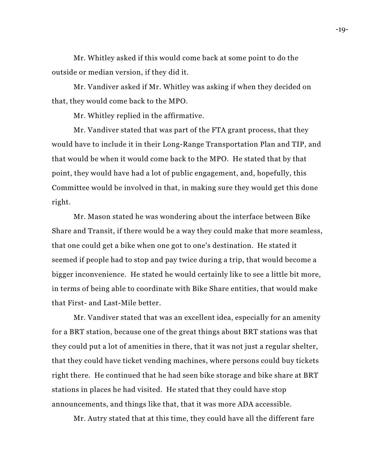Mr. Whitley asked if this would come back at some point to do the outside or median version, if they did it.

Mr. Vandiver asked if Mr. Whitley was asking if when they decided on that, they would come back to the MPO.

Mr. Whitley replied in the affirmative.

Mr. Vandiver stated that was part of the FTA grant process, that they would have to include it in their Long-Range Transportation Plan and TIP, and that would be when it would come back to the MPO. He stated that by that point, they would have had a lot of public engagement, and, hopefully, this Committee would be involved in that, in making sure they would get this done right.

Mr. Mason stated he was wondering about the interface between Bike Share and Transit, if there would be a way they could make that more seamless, that one could get a bike when one got to one's destination. He stated it seemed if people had to stop and pay twice during a trip, that would become a bigger inconvenience. He stated he would certainly like to see a little bit more, in terms of being able to coordinate with Bike Share entities, that would make that First- and Last-Mile better.

Mr. Vandiver stated that was an excellent idea, especially for an amenity for a BRT station, because one of the great things about BRT stations was that they could put a lot of amenities in there, that it was not just a regular shelter, that they could have ticket vending machines, where persons could buy tickets right there. He continued that he had seen bike storage and bike share at BRT stations in places he had visited. He stated that they could have stop announcements, and things like that, that it was more ADA accessible.

Mr. Autry stated that at this time, they could have all the different fare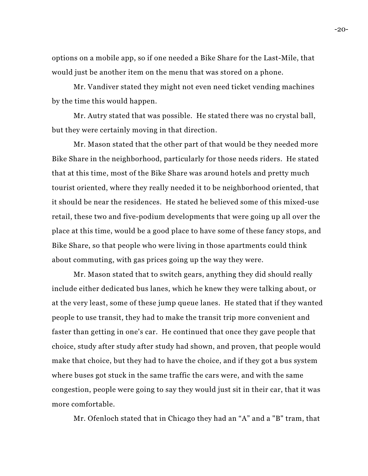options on a mobile app, so if one needed a Bike Share for the Last-Mile, that would just be another item on the menu that was stored on a phone.

Mr. Vandiver stated they might not even need ticket vending machines by the time this would happen.

Mr. Autry stated that was possible. He stated there was no crystal ball, but they were certainly moving in that direction.

Mr. Mason stated that the other part of that would be they needed more Bike Share in the neighborhood, particularly for those needs riders. He stated that at this time, most of the Bike Share was around hotels and pretty much tourist oriented, where they really needed it to be neighborhood oriented, that it should be near the residences. He stated he believed some of this mixed-use retail, these two and five-podium developments that were going up all over the place at this time, would be a good place to have some of these fancy stops, and Bike Share, so that people who were living in those apartments could think about commuting, with gas prices going up the way they were.

Mr. Mason stated that to switch gears, anything they did should really include either dedicated bus lanes, which he knew they were talking about, or at the very least, some of these jump queue lanes. He stated that if they wanted people to use transit, they had to make the transit trip more convenient and faster than getting in one's car. He continued that once they gave people that choice, study after study after study had shown, and proven, that people would make that choice, but they had to have the choice, and if they got a bus system where buses got stuck in the same traffic the cars were, and with the same congestion, people were going to say they would just sit in their car, that it was more comfortable.

Mr. Ofenloch stated that in Chicago they had an "A" and a "B" tram, that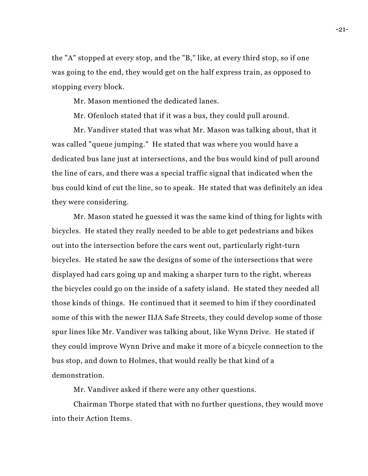the "A" stopped at every stop, and the "B," like, at every third stop, so if one was going to the end, they would get on the half express train, as opposed to stopping every block.

Mr. Mason mentioned the dedicated lanes.

Mr. Ofenloch stated that if it was a bus, they could pull around.

Mr. Vandiver stated that was what Mr. Mason was talking about, that it was called "queue jumping." He stated that was where you would have a dedicated bus lane just at intersections, and the bus would kind of pull around the line of cars, and there was a special traffic signal that indicated when the bus could kind of cut the line, so to speak. He stated that was definitely an idea they were considering.

Mr. Mason stated he guessed it was the same kind of thing for lights with bicycles. He stated they really needed to be able to get pedestrians and bikes out into the intersection before the cars went out, particularly right-turn bicycles. He stated he saw the designs of some of the intersections that were displayed had cars going up and making a sharper turn to the right, whereas the bicycles could go on the inside of a safety island. He stated they needed all those kinds of things. He continued that it seemed to him if they coordinated some of this with the newer IIJA Safe Streets, they could develop some of those spur lines like Mr. Vandiver was talking about, like Wynn Drive. He stated if they could improve Wynn Drive and make it more of a bicycle connection to the bus stop, and down to Holmes, that would really be that kind of a demonstration.

Mr. Vandiver asked if there were any other questions.

Chairman Thorpe stated that with no further questions, they would move into their Action Items.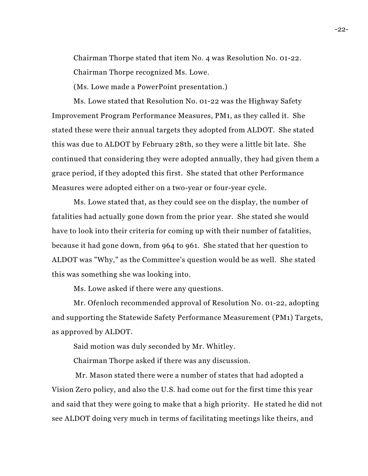Chairman Thorpe stated that item No. 4 was Resolution No. 01-22. Chairman Thorpe recognized Ms. Lowe.

(Ms. Lowe made a PowerPoint presentation.)

Ms. Lowe stated that Resolution No. 01-22 was the Highway Safety Improvement Program Performance Measures, PM1, as they called it. She stated these were their annual targets they adopted from ALDOT. She stated this was due to ALDOT by February 28th, so they were a little bit late. She continued that considering they were adopted annually, they had given them a grace period, if they adopted this first. She stated that other Performance Measures were adopted either on a two-year or four-year cycle.

Ms. Lowe stated that, as they could see on the display, the number of fatalities had actually gone down from the prior year. She stated she would have to look into their criteria for coming up with their number of fatalities, because it had gone down, from 964 to 961. She stated that her question to ALDOT was "Why," as the Committee's question would be as well. She stated this was something she was looking into.

Ms. Lowe asked if there were any questions.

Mr. Ofenloch recommended approval of Resolution No. 01-22, adopting and supporting the Statewide Safety Performance Measurement (PM1) Targets, as approved by ALDOT.

Said motion was duly seconded by Mr. Whitley.

Chairman Thorpe asked if there was any discussion.

Mr. Mason stated there were a number of states that had adopted a Vision Zero policy, and also the U.S. had come out for the first time this year and said that they were going to make that a high priority. He stated he did not see ALDOT doing very much in terms of facilitating meetings like theirs, and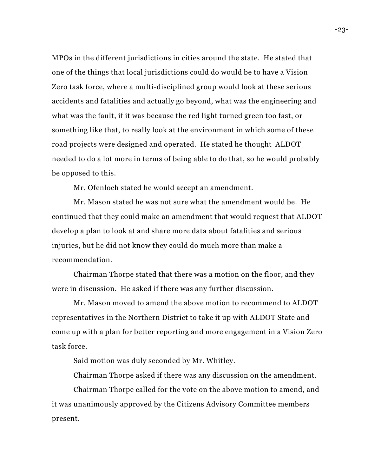MPOs in the different jurisdictions in cities around the state. He stated that one of the things that local jurisdictions could do would be to have a Vision Zero task force, where a multi-disciplined group would look at these serious accidents and fatalities and actually go beyond, what was the engineering and what was the fault, if it was because the red light turned green too fast, or something like that, to really look at the environment in which some of these road projects were designed and operated. He stated he thought ALDOT needed to do a lot more in terms of being able to do that, so he would probably be opposed to this.

Mr. Ofenloch stated he would accept an amendment.

Mr. Mason stated he was not sure what the amendment would be. He continued that they could make an amendment that would request that ALDOT develop a plan to look at and share more data about fatalities and serious injuries, but he did not know they could do much more than make a recommendation.

Chairman Thorpe stated that there was a motion on the floor, and they were in discussion. He asked if there was any further discussion.

Mr. Mason moved to amend the above motion to recommend to ALDOT representatives in the Northern District to take it up with ALDOT State and come up with a plan for better reporting and more engagement in a Vision Zero task force.

Said motion was duly seconded by Mr. Whitley.

Chairman Thorpe asked if there was any discussion on the amendment.

Chairman Thorpe called for the vote on the above motion to amend, and it was unanimously approved by the Citizens Advisory Committee members present.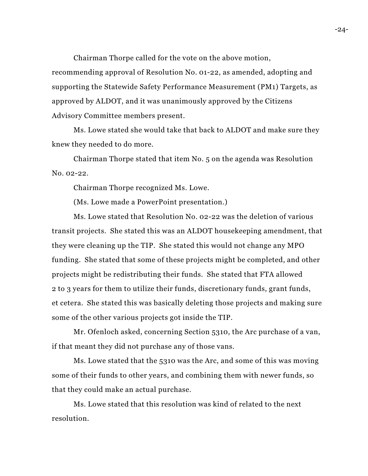Chairman Thorpe called for the vote on the above motion, recommending approval of Resolution No. 01-22, as amended, adopting and supporting the Statewide Safety Performance Measurement (PM1) Targets, as approved by ALDOT, and it was unanimously approved by the Citizens Advisory Committee members present.

Ms. Lowe stated she would take that back to ALDOT and make sure they knew they needed to do more.

Chairman Thorpe stated that item No. 5 on the agenda was Resolution No. 02-22.

Chairman Thorpe recognized Ms. Lowe.

(Ms. Lowe made a PowerPoint presentation.)

Ms. Lowe stated that Resolution No. 02-22 was the deletion of various transit projects. She stated this was an ALDOT housekeeping amendment, that they were cleaning up the TIP. She stated this would not change any MPO funding. She stated that some of these projects might be completed, and other projects might be redistributing their funds. She stated that FTA allowed 2 to 3 years for them to utilize their funds, discretionary funds, grant funds, et cetera. She stated this was basically deleting those projects and making sure some of the other various projects got inside the TIP.

Mr. Ofenloch asked, concerning Section 5310, the Arc purchase of a van, if that meant they did not purchase any of those vans.

Ms. Lowe stated that the 5310 was the Arc, and some of this was moving some of their funds to other years, and combining them with newer funds, so that they could make an actual purchase.

Ms. Lowe stated that this resolution was kind of related to the next resolution.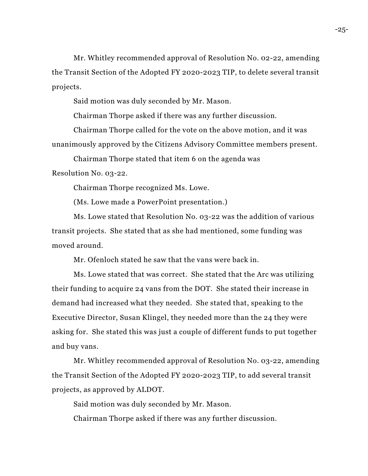Mr. Whitley recommended approval of Resolution No. 02-22, amending the Transit Section of the Adopted FY 2020-2023 TIP, to delete several transit projects.

Said motion was duly seconded by Mr. Mason.

Chairman Thorpe asked if there was any further discussion.

Chairman Thorpe called for the vote on the above motion, and it was unanimously approved by the Citizens Advisory Committee members present.

Chairman Thorpe stated that item 6 on the agenda was Resolution No. 03-22.

Chairman Thorpe recognized Ms. Lowe.

(Ms. Lowe made a PowerPoint presentation.)

Ms. Lowe stated that Resolution No. 03-22 was the addition of various transit projects. She stated that as she had mentioned, some funding was moved around.

Mr. Ofenloch stated he saw that the vans were back in.

Ms. Lowe stated that was correct. She stated that the Arc was utilizing their funding to acquire 24 vans from the DOT. She stated their increase in demand had increased what they needed. She stated that, speaking to the Executive Director, Susan Klingel, they needed more than the 24 they were asking for. She stated this was just a couple of different funds to put together and buy vans.

Mr. Whitley recommended approval of Resolution No. 03-22, amending the Transit Section of the Adopted FY 2020-2023 TIP, to add several transit projects, as approved by ALDOT.

Said motion was duly seconded by Mr. Mason.

Chairman Thorpe asked if there was any further discussion.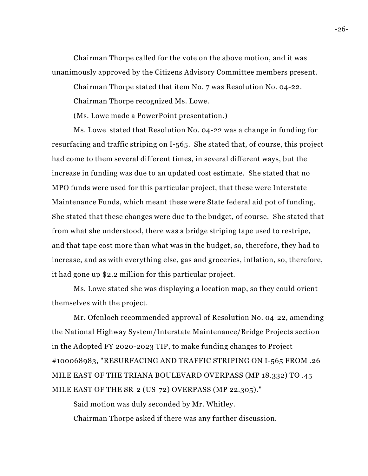Chairman Thorpe called for the vote on the above motion, and it was unanimously approved by the Citizens Advisory Committee members present.

Chairman Thorpe stated that item No. 7 was Resolution No. 04-22.

Chairman Thorpe recognized Ms. Lowe.

(Ms. Lowe made a PowerPoint presentation.)

Ms. Lowe stated that Resolution No. 04-22 was a change in funding for resurfacing and traffic striping on I-565. She stated that, of course, this project had come to them several different times, in several different ways, but the increase in funding was due to an updated cost estimate. She stated that no MPO funds were used for this particular project, that these were Interstate Maintenance Funds, which meant these were State federal aid pot of funding. She stated that these changes were due to the budget, of course. She stated that from what she understood, there was a bridge striping tape used to restripe, and that tape cost more than what was in the budget, so, therefore, they had to increase, and as with everything else, gas and groceries, inflation, so, therefore, it had gone up \$2.2 million for this particular project.

Ms. Lowe stated she was displaying a location map, so they could orient themselves with the project.

Mr. Ofenloch recommended approval of Resolution No. 04-22, amending the National Highway System/Interstate Maintenance/Bridge Projects section in the Adopted FY 2020-2023 TIP, to make funding changes to Project #100068983, "RESURFACING AND TRAFFIC STRIPING ON I-565 FROM .26 MILE EAST OF THE TRIANA BOULEVARD OVERPASS (MP 18.332) TO .45 MILE EAST OF THE SR-2 (US-72) OVERPASS (MP 22.305)."

Said motion was duly seconded by Mr. Whitley. Chairman Thorpe asked if there was any further discussion.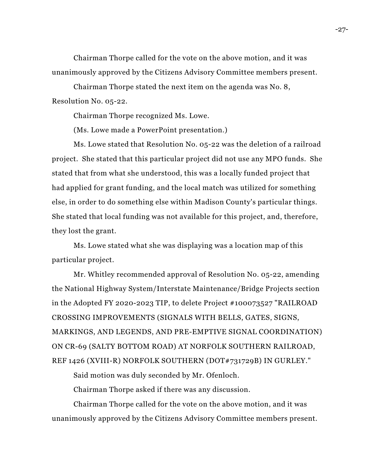Chairman Thorpe called for the vote on the above motion, and it was unanimously approved by the Citizens Advisory Committee members present.

Chairman Thorpe stated the next item on the agenda was No. 8, Resolution No. 05-22.

Chairman Thorpe recognized Ms. Lowe.

(Ms. Lowe made a PowerPoint presentation.)

Ms. Lowe stated that Resolution No. 05-22 was the deletion of a railroad project. She stated that this particular project did not use any MPO funds. She stated that from what she understood, this was a locally funded project that had applied for grant funding, and the local match was utilized for something else, in order to do something else within Madison County's particular things. She stated that local funding was not available for this project, and, therefore, they lost the grant.

Ms. Lowe stated what she was displaying was a location map of this particular project.

Mr. Whitley recommended approval of Resolution No. 05-22, amending the National Highway System/Interstate Maintenance/Bridge Projects section in the Adopted FY 2020-2023 TIP, to delete Project #100073527 "RAILROAD CROSSING IMPROVEMENTS (SIGNALS WITH BELLS, GATES, SIGNS, MARKINGS, AND LEGENDS, AND PRE-EMPTIVE SIGNAL COORDINATION) ON CR-69 (SALTY BOTTOM ROAD) AT NORFOLK SOUTHERN RAILROAD, REF 1426 (XVIII-R) NORFOLK SOUTHERN (DOT#731729B) IN GURLEY."

Said motion was duly seconded by Mr. Ofenloch.

Chairman Thorpe asked if there was any discussion.

Chairman Thorpe called for the vote on the above motion, and it was unanimously approved by the Citizens Advisory Committee members present.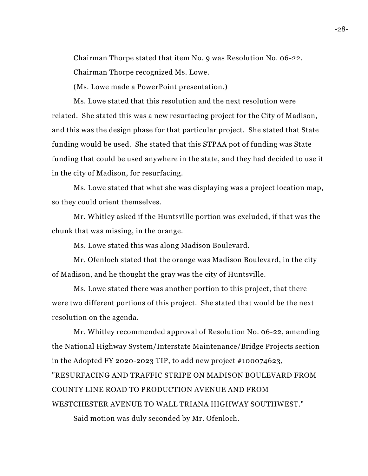Chairman Thorpe stated that item No. 9 was Resolution No. 06-22.

Chairman Thorpe recognized Ms. Lowe.

(Ms. Lowe made a PowerPoint presentation.)

Ms. Lowe stated that this resolution and the next resolution were related. She stated this was a new resurfacing project for the City of Madison, and this was the design phase for that particular project. She stated that State funding would be used. She stated that this STPAA pot of funding was State funding that could be used anywhere in the state, and they had decided to use it in the city of Madison, for resurfacing.

Ms. Lowe stated that what she was displaying was a project location map, so they could orient themselves.

Mr. Whitley asked if the Huntsville portion was excluded, if that was the chunk that was missing, in the orange.

Ms. Lowe stated this was along Madison Boulevard.

Mr. Ofenloch stated that the orange was Madison Boulevard, in the city of Madison, and he thought the gray was the city of Huntsville.

Ms. Lowe stated there was another portion to this project, that there were two different portions of this project. She stated that would be the next resolution on the agenda.

Mr. Whitley recommended approval of Resolution No. 06-22, amending the National Highway System/Interstate Maintenance/Bridge Projects section in the Adopted FY 2020-2023 TIP, to add new project #100074623, "RESURFACING AND TRAFFIC STRIPE ON MADISON BOULEVARD FROM COUNTY LINE ROAD TO PRODUCTION AVENUE AND FROM WESTCHESTER AVENUE TO WALL TRIANA HIGHWAY SOUTHWEST."

Said motion was duly seconded by Mr. Ofenloch.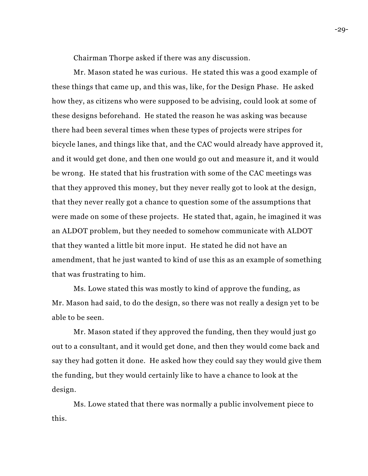Chairman Thorpe asked if there was any discussion.

Mr. Mason stated he was curious. He stated this was a good example of these things that came up, and this was, like, for the Design Phase. He asked how they, as citizens who were supposed to be advising, could look at some of these designs beforehand. He stated the reason he was asking was because there had been several times when these types of projects were stripes for bicycle lanes, and things like that, and the CAC would already have approved it, and it would get done, and then one would go out and measure it, and it would be wrong. He stated that his frustration with some of the CAC meetings was that they approved this money, but they never really got to look at the design, that they never really got a chance to question some of the assumptions that were made on some of these projects. He stated that, again, he imagined it was an ALDOT problem, but they needed to somehow communicate with ALDOT that they wanted a little bit more input. He stated he did not have an amendment, that he just wanted to kind of use this as an example of something that was frustrating to him.

Ms. Lowe stated this was mostly to kind of approve the funding, as Mr. Mason had said, to do the design, so there was not really a design yet to be able to be seen.

Mr. Mason stated if they approved the funding, then they would just go out to a consultant, and it would get done, and then they would come back and say they had gotten it done. He asked how they could say they would give them the funding, but they would certainly like to have a chance to look at the design.

Ms. Lowe stated that there was normally a public involvement piece to this.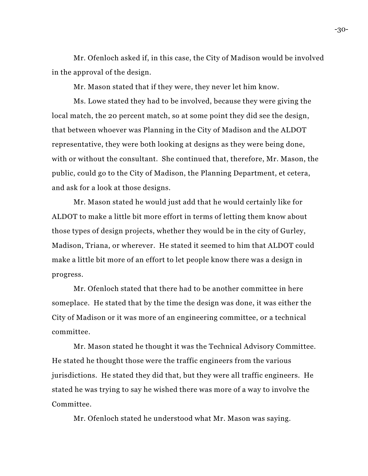Mr. Ofenloch asked if, in this case, the City of Madison would be involved in the approval of the design.

Mr. Mason stated that if they were, they never let him know.

Ms. Lowe stated they had to be involved, because they were giving the local match, the 20 percent match, so at some point they did see the design, that between whoever was Planning in the City of Madison and the ALDOT representative, they were both looking at designs as they were being done, with or without the consultant. She continued that, therefore, Mr. Mason, the public, could go to the City of Madison, the Planning Department, et cetera, and ask for a look at those designs.

Mr. Mason stated he would just add that he would certainly like for ALDOT to make a little bit more effort in terms of letting them know about those types of design projects, whether they would be in the city of Gurley, Madison, Triana, or wherever. He stated it seemed to him that ALDOT could make a little bit more of an effort to let people know there was a design in progress.

Mr. Ofenloch stated that there had to be another committee in here someplace. He stated that by the time the design was done, it was either the City of Madison or it was more of an engineering committee, or a technical committee.

Mr. Mason stated he thought it was the Technical Advisory Committee. He stated he thought those were the traffic engineers from the various jurisdictions. He stated they did that, but they were all traffic engineers. He stated he was trying to say he wished there was more of a way to involve the Committee.

Mr. Ofenloch stated he understood what Mr. Mason was saying.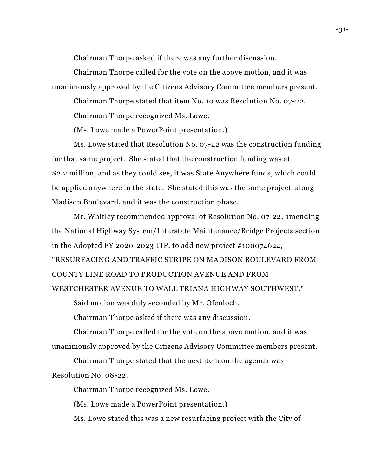Chairman Thorpe asked if there was any further discussion.

Chairman Thorpe called for the vote on the above motion, and it was unanimously approved by the Citizens Advisory Committee members present.

Chairman Thorpe stated that item No. 10 was Resolution No. 07-22.

Chairman Thorpe recognized Ms. Lowe.

(Ms. Lowe made a PowerPoint presentation.)

Ms. Lowe stated that Resolution No. 07-22 was the construction funding for that same project. She stated that the construction funding was at \$2.2 million, and as they could see, it was State Anywhere funds, which could be applied anywhere in the state. She stated this was the same project, along Madison Boulevard, and it was the construction phase.

Mr. Whitley recommended approval of Resolution No. 07-22, amending the National Highway System/Interstate Maintenance/Bridge Projects section in the Adopted FY 2020-2023 TIP, to add new project #100074624,

"RESURFACING AND TRAFFIC STRIPE ON MADISON BOULEVARD FROM COUNTY LINE ROAD TO PRODUCTION AVENUE AND FROM

WESTCHESTER AVENUE TO WALL TRIANA HIGHWAY SOUTHWEST."

Said motion was duly seconded by Mr. Ofenloch.

Chairman Thorpe asked if there was any discussion.

Chairman Thorpe called for the vote on the above motion, and it was unanimously approved by the Citizens Advisory Committee members present.

Chairman Thorpe stated that the next item on the agenda was Resolution No. 08-22.

Chairman Thorpe recognized Ms. Lowe.

(Ms. Lowe made a PowerPoint presentation.)

Ms. Lowe stated this was a new resurfacing project with the City of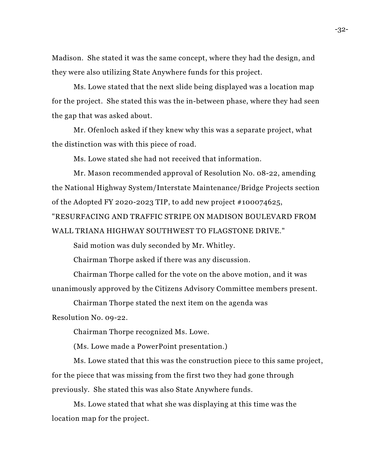Madison. She stated it was the same concept, where they had the design, and they were also utilizing State Anywhere funds for this project.

Ms. Lowe stated that the next slide being displayed was a location map for the project. She stated this was the in-between phase, where they had seen the gap that was asked about.

Mr. Ofenloch asked if they knew why this was a separate project, what the distinction was with this piece of road.

Ms. Lowe stated she had not received that information.

Mr. Mason recommended approval of Resolution No. 08-22, amending the National Highway System/Interstate Maintenance/Bridge Projects section of the Adopted FY 2020-2023 TIP, to add new project #100074625,

"RESURFACING AND TRAFFIC STRIPE ON MADISON BOULEVARD FROM WALL TRIANA HIGHWAY SOUTHWEST TO FLAGSTONE DRIVE."

Said motion was duly seconded by Mr. Whitley.

Chairman Thorpe asked if there was any discussion.

Chairman Thorpe called for the vote on the above motion, and it was unanimously approved by the Citizens Advisory Committee members present.

Chairman Thorpe stated the next item on the agenda was Resolution No. 09-22.

Chairman Thorpe recognized Ms. Lowe.

(Ms. Lowe made a PowerPoint presentation.)

Ms. Lowe stated that this was the construction piece to this same project, for the piece that was missing from the first two they had gone through previously. She stated this was also State Anywhere funds.

Ms. Lowe stated that what she was displaying at this time was the location map for the project.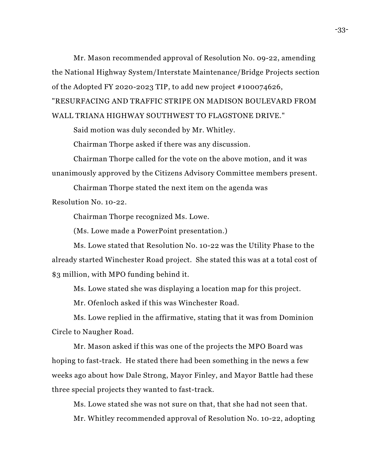Mr. Mason recommended approval of Resolution No. 09-22, amending the National Highway System/Interstate Maintenance/Bridge Projects section of the Adopted FY 2020-2023 TIP, to add new project #100074626, "RESURFACING AND TRAFFIC STRIPE ON MADISON BOULEVARD FROM WALL TRIANA HIGHWAY SOUTHWEST TO FLAGSTONE DRIVE."

Said motion was duly seconded by Mr. Whitley.

Chairman Thorpe asked if there was any discussion.

Chairman Thorpe called for the vote on the above motion, and it was unanimously approved by the Citizens Advisory Committee members present.

Chairman Thorpe stated the next item on the agenda was

Resolution No. 10-22.

Chairman Thorpe recognized Ms. Lowe.

(Ms. Lowe made a PowerPoint presentation.)

Ms. Lowe stated that Resolution No. 10-22 was the Utility Phase to the already started Winchester Road project. She stated this was at a total cost of \$3 million, with MPO funding behind it.

Ms. Lowe stated she was displaying a location map for this project.

Mr. Ofenloch asked if this was Winchester Road.

Ms. Lowe replied in the affirmative, stating that it was from Dominion Circle to Naugher Road.

Mr. Mason asked if this was one of the projects the MPO Board was hoping to fast-track. He stated there had been something in the news a few weeks ago about how Dale Strong, Mayor Finley, and Mayor Battle had these three special projects they wanted to fast-track.

Ms. Lowe stated she was not sure on that, that she had not seen that.

Mr. Whitley recommended approval of Resolution No. 10-22, adopting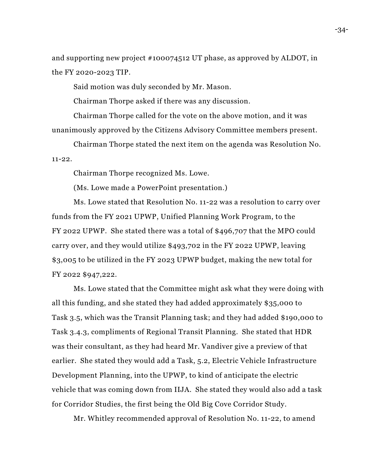and supporting new project #100074512 UT phase, as approved by ALDOT, in the FY 2020-2023 TIP.

Said motion was duly seconded by Mr. Mason.

Chairman Thorpe asked if there was any discussion.

Chairman Thorpe called for the vote on the above motion, and it was unanimously approved by the Citizens Advisory Committee members present.

Chairman Thorpe stated the next item on the agenda was Resolution No. 11-22.

Chairman Thorpe recognized Ms. Lowe.

(Ms. Lowe made a PowerPoint presentation.)

Ms. Lowe stated that Resolution No. 11-22 was a resolution to carry over funds from the FY 2021 UPWP, Unified Planning Work Program, to the FY 2022 UPWP. She stated there was a total of \$496,707 that the MPO could carry over, and they would utilize \$493,702 in the FY 2022 UPWP, leaving \$3,005 to be utilized in the FY 2023 UPWP budget, making the new total for FY 2022 \$947,222.

Ms. Lowe stated that the Committee might ask what they were doing with all this funding, and she stated they had added approximately \$35,000 to Task 3.5, which was the Transit Planning task; and they had added \$190,000 to Task 3.4.3, compliments of Regional Transit Planning. She stated that HDR was their consultant, as they had heard Mr. Vandiver give a preview of that earlier. She stated they would add a Task, 5.2, Electric Vehicle Infrastructure Development Planning, into the UPWP, to kind of anticipate the electric vehicle that was coming down from IIJA. She stated they would also add a task for Corridor Studies, the first being the Old Big Cove Corridor Study.

Mr. Whitley recommended approval of Resolution No. 11-22, to amend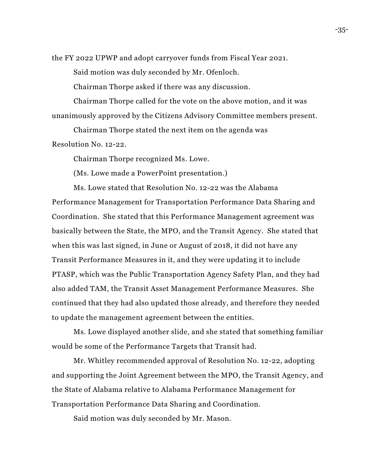the FY 2022 UPWP and adopt carryover funds from Fiscal Year 2021.

Said motion was duly seconded by Mr. Ofenloch.

Chairman Thorpe asked if there was any discussion.

Chairman Thorpe called for the vote on the above motion, and it was unanimously approved by the Citizens Advisory Committee members present.

Chairman Thorpe stated the next item on the agenda was Resolution No. 12-22.

Chairman Thorpe recognized Ms. Lowe.

(Ms. Lowe made a PowerPoint presentation.)

Ms. Lowe stated that Resolution No. 12-22 was the Alabama

Performance Management for Transportation Performance Data Sharing and Coordination. She stated that this Performance Management agreement was basically between the State, the MPO, and the Transit Agency. She stated that when this was last signed, in June or August of 2018, it did not have any Transit Performance Measures in it, and they were updating it to include PTASP, which was the Public Transportation Agency Safety Plan, and they had also added TAM, the Transit Asset Management Performance Measures. She continued that they had also updated those already, and therefore they needed to update the management agreement between the entities.

Ms. Lowe displayed another slide, and she stated that something familiar would be some of the Performance Targets that Transit had.

Mr. Whitley recommended approval of Resolution No. 12-22, adopting and supporting the Joint Agreement between the MPO, the Transit Agency, and the State of Alabama relative to Alabama Performance Management for Transportation Performance Data Sharing and Coordination.

Said motion was duly seconded by Mr. Mason.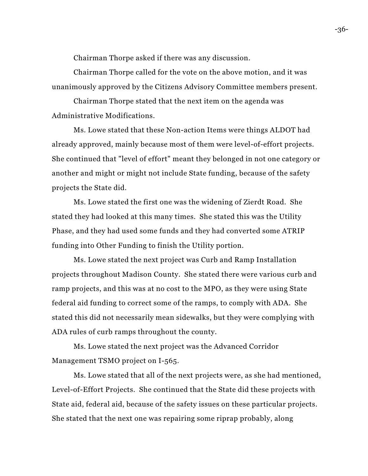Chairman Thorpe asked if there was any discussion.

Chairman Thorpe called for the vote on the above motion, and it was unanimously approved by the Citizens Advisory Committee members present.

Chairman Thorpe stated that the next item on the agenda was Administrative Modifications.

Ms. Lowe stated that these Non-action Items were things ALDOT had already approved, mainly because most of them were level-of-effort projects. She continued that "level of effort" meant they belonged in not one category or another and might or might not include State funding, because of the safety projects the State did.

Ms. Lowe stated the first one was the widening of Zierdt Road. She stated they had looked at this many times. She stated this was the Utility Phase, and they had used some funds and they had converted some ATRIP funding into Other Funding to finish the Utility portion.

Ms. Lowe stated the next project was Curb and Ramp Installation projects throughout Madison County. She stated there were various curb and ramp projects, and this was at no cost to the MPO, as they were using State federal aid funding to correct some of the ramps, to comply with ADA. She stated this did not necessarily mean sidewalks, but they were complying with ADA rules of curb ramps throughout the county.

Ms. Lowe stated the next project was the Advanced Corridor Management TSMO project on I-565.

Ms. Lowe stated that all of the next projects were, as she had mentioned, Level-of-Effort Projects. She continued that the State did these projects with State aid, federal aid, because of the safety issues on these particular projects. She stated that the next one was repairing some riprap probably, along

-36-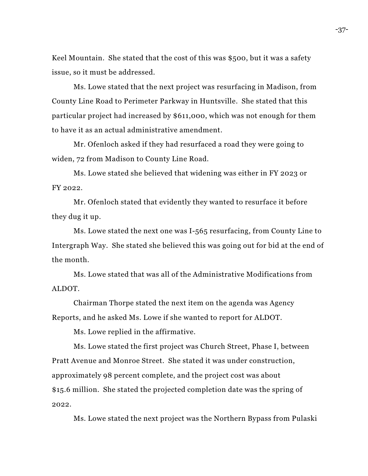Keel Mountain. She stated that the cost of this was \$500, but it was a safety issue, so it must be addressed.

Ms. Lowe stated that the next project was resurfacing in Madison, from County Line Road to Perimeter Parkway in Huntsville. She stated that this particular project had increased by \$611,000, which was not enough for them to have it as an actual administrative amendment.

Mr. Ofenloch asked if they had resurfaced a road they were going to widen, 72 from Madison to County Line Road.

Ms. Lowe stated she believed that widening was either in FY 2023 or FY 2022.

Mr. Ofenloch stated that evidently they wanted to resurface it before they dug it up.

Ms. Lowe stated the next one was I-565 resurfacing, from County Line to Intergraph Way. She stated she believed this was going out for bid at the end of the month.

Ms. Lowe stated that was all of the Administrative Modifications from ALDOT.

Chairman Thorpe stated the next item on the agenda was Agency Reports, and he asked Ms. Lowe if she wanted to report for ALDOT.

Ms. Lowe replied in the affirmative.

Ms. Lowe stated the first project was Church Street, Phase I, between Pratt Avenue and Monroe Street. She stated it was under construction, approximately 98 percent complete, and the project cost was about \$15.6 million. She stated the projected completion date was the spring of 2022.

Ms. Lowe stated the next project was the Northern Bypass from Pulaski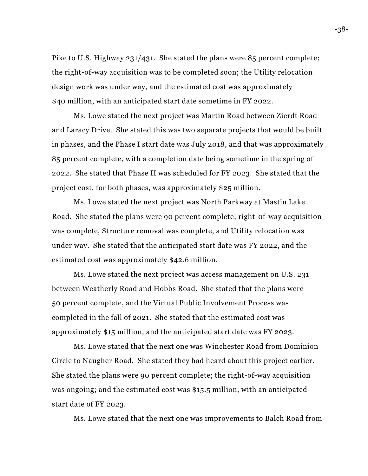Pike to U.S. Highway 231/431. She stated the plans were 85 percent complete; the right-of-way acquisition was to be completed soon; the Utility relocation design work was under way, and the estimated cost was approximately \$40 million, with an anticipated start date sometime in FY 2022.

Ms. Lowe stated the next project was Martin Road between Zierdt Road and Laracy Drive. She stated this was two separate projects that would be built in phases, and the Phase I start date was July 2018, and that was approximately 85 percent complete, with a completion date being sometime in the spring of 2022. She stated that Phase II was scheduled for FY 2023. She stated that the project cost, for both phases, was approximately \$25 million.

Ms. Lowe stated the next project was North Parkway at Mastin Lake Road. She stated the plans were 90 percent complete; right-0f-way acquisition was complete, Structure removal was complete, and Utility relocation was under way. She stated that the anticipated start date was FY 2022, and the estimated cost was approximately \$42.6 million.

Ms. Lowe stated the next project was access management on U.S. 231 between Weatherly Road and Hobbs Road. She stated that the plans were 50 percent complete, and the Virtual Public Involvement Process was completed in the fall of 2021. She stated that the estimated cost was approximately \$15 million, and the anticipated start date was FY 2023.

Ms. Lowe stated that the next one was Winchester Road from Dominion Circle to Naugher Road. She stated they had heard about this project earlier. She stated the plans were 90 percent complete; the right-of-way acquisition was ongoing; and the estimated cost was \$15.5 million, with an anticipated start date of FY 2023.

Ms. Lowe stated that the next one was improvements to Balch Road from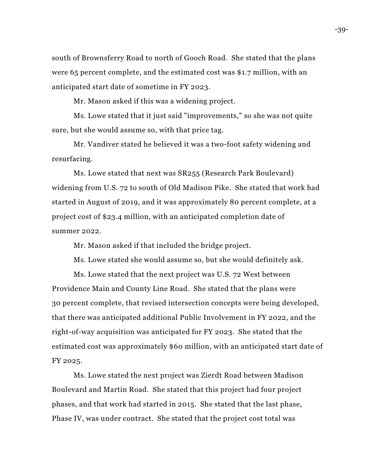south of Brownsferry Road to north of Gooch Road. She stated that the plans were 65 percent complete, and the estimated cost was \$1.7 million, with an anticipated start date of sometime in FY 2023.

Mr. Mason asked if this was a widening project.

Ms. Lowe stated that it just said "improvements," so she was not quite sure, but she would assume so, with that price tag.

Mr. Vandiver stated he believed it was a two-foot safety widening and resurfacing.

Ms. Lowe stated that next was SR255 (Research Park Boulevard) widening from U.S. 72 to south of Old Madison Pike. She stated that work had started in August of 2019, and it was approximately 80 percent complete, at a project cost of \$23.4 million, with an anticipated completion date of summer 2022.

Mr. Mason asked if that included the bridge project.

Ms. Lowe stated she would assume so, but she would definitely ask.

Ms. Lowe stated that the next project was U.S. 72 West between Providence Main and County Line Road. She stated that the plans were 30 percent complete, that revised intersection concepts were being developed, that there was anticipated additional Public Involvement in FY 2022, and the right-of-way acquisition was anticipated for FY 2023. She stated that the estimated cost was approximately \$60 million, with an anticipated start date of FY 2025.

Ms. Lowe stated the next project was Zierdt Road between Madison Boulevard and Martin Road. She stated that this project had four project phases, and that work had started in 2015. She stated that the last phase, Phase IV, was under contract. She stated that the project cost total was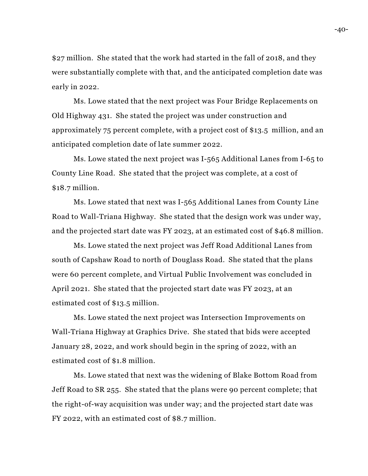\$27 million. She stated that the work had started in the fall of 2018, and they were substantially complete with that, and the anticipated completion date was early in 2022.

Ms. Lowe stated that the next project was Four Bridge Replacements on Old Highway 431. She stated the project was under construction and approximately 75 percent complete, with a project cost of \$13.5 million, and an anticipated completion date of late summer 2022.

Ms. Lowe stated the next project was I-565 Additional Lanes from I-65 to County Line Road. She stated that the project was complete, at a cost of \$18.7 million.

Ms. Lowe stated that next was I-565 Additional Lanes from County Line Road to Wall-Triana Highway. She stated that the design work was under way, and the projected start date was FY 2023, at an estimated cost of \$46.8 million.

Ms. Lowe stated the next project was Jeff Road Additional Lanes from south of Capshaw Road to north of Douglass Road. She stated that the plans were 60 percent complete, and Virtual Public Involvement was concluded in April 2021. She stated that the projected start date was FY 2023, at an estimated cost of \$13.5 million.

Ms. Lowe stated the next project was Intersection Improvements on Wall-Triana Highway at Graphics Drive. She stated that bids were accepted January 28, 2022, and work should begin in the spring of 2022, with an estimated cost of \$1.8 million.

Ms. Lowe stated that next was the widening of Blake Bottom Road from Jeff Road to SR 255. She stated that the plans were 90 percent complete; that the right-of-way acquisition was under way; and the projected start date was FY 2022, with an estimated cost of \$8.7 million.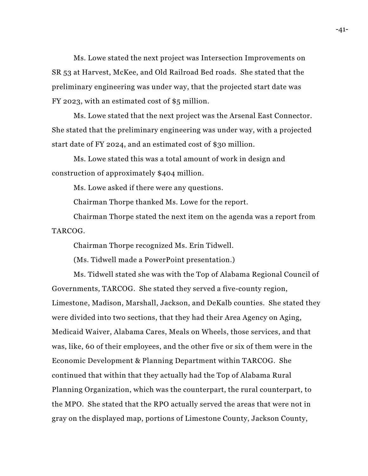Ms. Lowe stated the next project was Intersection Improvements on SR 53 at Harvest, McKee, and Old Railroad Bed roads. She stated that the preliminary engineering was under way, that the projected start date was FY 2023, with an estimated cost of \$5 million.

Ms. Lowe stated that the next project was the Arsenal East Connector. She stated that the preliminary engineering was under way, with a projected start date of FY 2024, and an estimated cost of \$30 million.

Ms. Lowe stated this was a total amount of work in design and construction of approximately \$404 million.

Ms. Lowe asked if there were any questions.

Chairman Thorpe thanked Ms. Lowe for the report.

Chairman Thorpe stated the next item on the agenda was a report from TARCOG.

Chairman Thorpe recognized Ms. Erin Tidwell.

(Ms. Tidwell made a PowerPoint presentation.)

Ms. Tidwell stated she was with the Top of Alabama Regional Council of Governments, TARCOG. She stated they served a five-county region, Limestone, Madison, Marshall, Jackson, and DeKalb counties. She stated they were divided into two sections, that they had their Area Agency on Aging, Medicaid Waiver, Alabama Cares, Meals on Wheels, those services, and that was, like, 60 of their employees, and the other five or six of them were in the Economic Development & Planning Department within TARCOG. She continued that within that they actually had the Top of Alabama Rural Planning Organization, which was the counterpart, the rural counterpart, to the MPO. She stated that the RPO actually served the areas that were not in gray on the displayed map, portions of Limestone County, Jackson County,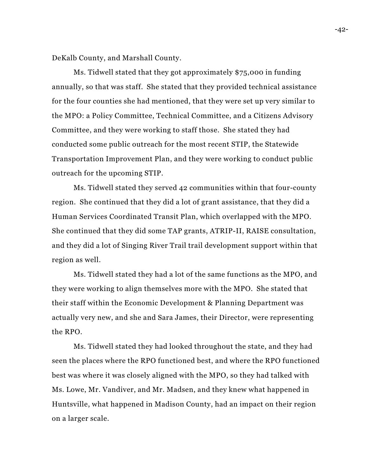DeKalb County, and Marshall County.

Ms. Tidwell stated that they got approximately \$75,000 in funding annually, so that was staff. She stated that they provided technical assistance for the four counties she had mentioned, that they were set up very similar to the MPO: a Policy Committee, Technical Committee, and a Citizens Advisory Committee, and they were working to staff those. She stated they had conducted some public outreach for the most recent STIP, the Statewide Transportation Improvement Plan, and they were working to conduct public outreach for the upcoming STIP.

Ms. Tidwell stated they served 42 communities within that four-county region. She continued that they did a lot of grant assistance, that they did a Human Services Coordinated Transit Plan, which overlapped with the MPO. She continued that they did some TAP grants, ATRIP-II, RAISE consultation, and they did a lot of Singing River Trail trail development support within that region as well.

Ms. Tidwell stated they had a lot of the same functions as the MPO, and they were working to align themselves more with the MPO. She stated that their staff within the Economic Development & Planning Department was actually very new, and she and Sara James, their Director, were representing the RPO.

Ms. Tidwell stated they had looked throughout the state, and they had seen the places where the RPO functioned best, and where the RPO functioned best was where it was closely aligned with the MPO, so they had talked with Ms. Lowe, Mr. Vandiver, and Mr. Madsen, and they knew what happened in Huntsville, what happened in Madison County, had an impact on their region on a larger scale.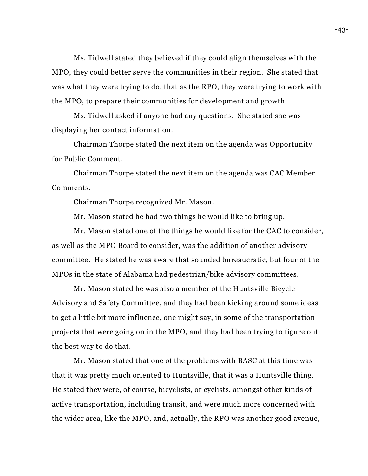Ms. Tidwell stated they believed if they could align themselves with the MPO, they could better serve the communities in their region. She stated that was what they were trying to do, that as the RPO, they were trying to work with the MPO, to prepare their communities for development and growth.

Ms. Tidwell asked if anyone had any questions. She stated she was displaying her contact information.

Chairman Thorpe stated the next item on the agenda was Opportunity for Public Comment.

Chairman Thorpe stated the next item on the agenda was CAC Member Comments.

Chairman Thorpe recognized Mr. Mason.

Mr. Mason stated he had two things he would like to bring up.

Mr. Mason stated one of the things he would like for the CAC to consider, as well as the MPO Board to consider, was the addition of another advisory committee. He stated he was aware that sounded bureaucratic, but four of the MPOs in the state of Alabama had pedestrian/bike advisory committees.

Mr. Mason stated he was also a member of the Huntsville Bicycle Advisory and Safety Committee, and they had been kicking around some ideas to get a little bit more influence, one might say, in some of the transportation projects that were going on in the MPO, and they had been trying to figure out the best way to do that.

Mr. Mason stated that one of the problems with BASC at this time was that it was pretty much oriented to Huntsville, that it was a Huntsville thing. He stated they were, of course, bicyclists, or cyclists, amongst other kinds of active transportation, including transit, and were much more concerned with the wider area, like the MPO, and, actually, the RPO was another good avenue,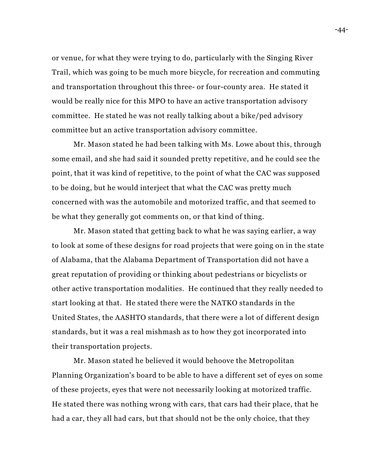or venue, for what they were trying to do, particularly with the Singing River Trail, which was going to be much more bicycle, for recreation and commuting and transportation throughout this three- or four-county area. He stated it would be really nice for this MPO to have an active transportation advisory committee. He stated he was not really talking about a bike/ped advisory committee but an active transportation advisory committee.

Mr. Mason stated he had been talking with Ms. Lowe about this, through some email, and she had said it sounded pretty repetitive, and he could see the point, that it was kind of repetitive, to the point of what the CAC was supposed to be doing, but he would interject that what the CAC was pretty much concerned with was the automobile and motorized traffic, and that seemed to be what they generally got comments on, or that kind of thing.

Mr. Mason stated that getting back to what he was saying earlier, a way to look at some of these designs for road projects that were going on in the state of Alabama, that the Alabama Department of Transportation did not have a great reputation of providing or thinking about pedestrians or bicyclists or other active transportation modalities. He continued that they really needed to start looking at that. He stated there were the NATKO standards in the United States, the AASHTO standards, that there were a lot of different design standards, but it was a real mishmash as to how they got incorporated into their transportation projects.

Mr. Mason stated he believed it would behoove the Metropolitan Planning Organization's board to be able to have a different set of eyes on some of these projects, eyes that were not necessarily looking at motorized traffic. He stated there was nothing wrong with cars, that cars had their place, that he had a car, they all had cars, but that should not be the only choice, that they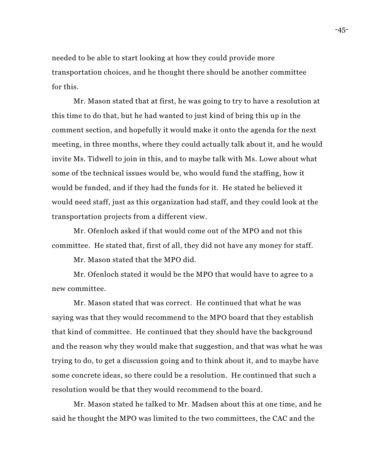needed to be able to start looking at how they could provide more transportation choices, and he thought there should be another committee for this.

Mr. Mason stated that at first, he was going to try to have a resolution at this time to do that, but he had wanted to just kind of bring this up in the comment section, and hopefully it would make it onto the agenda for the next meeting, in three months, where they could actually talk about it, and he would invite Ms. Tidwell to join in this, and to maybe talk with Ms. Lowe about what some of the technical issues would be, who would fund the staffing, how it would be funded, and if they had the funds for it. He stated he believed it would need staff, just as this organization had staff, and they could look at the transportation projects from a different view.

Mr. Ofenloch asked if that would come out of the MPO and not this committee. He stated that, first of all, they did not have any money for staff.

Mr. Mason stated that the MPO did.

Mr. Ofenloch stated it would be the MPO that would have to agree to a new committee.

Mr. Mason stated that was correct. He continued that what he was saying was that they would recommend to the MPO board that they establish that kind of committee. He continued that they should have the background and the reason why they would make that suggestion, and that was what he was trying to do, to get a discussion going and to think about it, and to maybe have some concrete ideas, so there could be a resolution. He continued that such a resolution would be that they would recommend to the board.

Mr. Mason stated he talked to Mr. Madsen about this at one time, and he said he thought the MPO was limited to the two committees, the CAC and the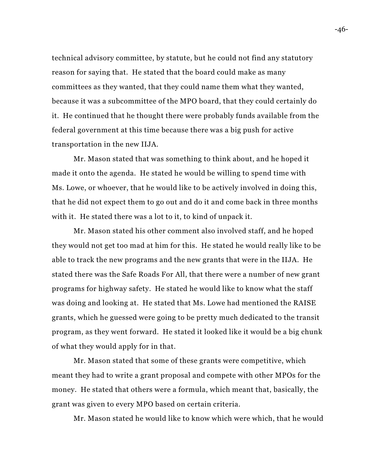technical advisory committee, by statute, but he could not find any statutory reason for saying that. He stated that the board could make as many committees as they wanted, that they could name them what they wanted, because it was a subcommittee of the MPO board, that they could certainly do it. He continued that he thought there were probably funds available from the federal government at this time because there was a big push for active transportation in the new IIJA.

Mr. Mason stated that was something to think about, and he hoped it made it onto the agenda. He stated he would be willing to spend time with Ms. Lowe, or whoever, that he would like to be actively involved in doing this, that he did not expect them to go out and do it and come back in three months with it. He stated there was a lot to it, to kind of unpack it.

Mr. Mason stated his other comment also involved staff, and he hoped they would not get too mad at him for this. He stated he would really like to be able to track the new programs and the new grants that were in the IIJA. He stated there was the Safe Roads For All, that there were a number of new grant programs for highway safety. He stated he would like to know what the staff was doing and looking at. He stated that Ms. Lowe had mentioned the RAISE grants, which he guessed were going to be pretty much dedicated to the transit program, as they went forward. He stated it looked like it would be a big chunk of what they would apply for in that.

Mr. Mason stated that some of these grants were competitive, which meant they had to write a grant proposal and compete with other MPOs for the money. He stated that others were a formula, which meant that, basically, the grant was given to every MPO based on certain criteria.

Mr. Mason stated he would like to know which were which, that he would